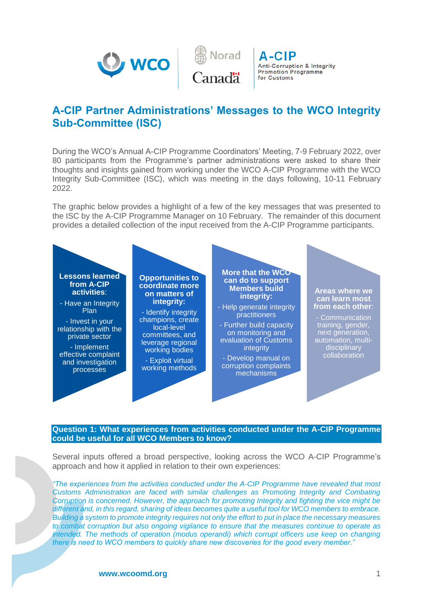



A-CIP **Anti-Corruption & Integrity Promotion Programme** for Customs

# **A-CIP Partner Administrations' Messages to the WCO Integrity Sub-Committee (ISC)**

During the WCO's Annual A-CIP Programme Coordinators' Meeting, 7-9 February 2022, over 80 participants from the Programme's partner administrations were asked to share their thoughts and insights gained from working under the WCO A-CIP Programme with the WCO Integrity Sub-Committee (ISC), which was meeting in the days following, 10-11 February 2022.

The graphic below provides a highlight of a few of the key messages that was presented to the ISC by the A-CIP Programme Manager on 10 February. The remainder of this document provides a detailed collection of the input received from the A-CIP Programme participants.



# **Question 1: What experiences from activities conducted under the A-CIP Programme could be useful for all WCO Members to know?**

Several inputs offered a broad perspective, looking across the WCO A-CIP Programme's approach and how it applied in relation to their own experiences:

*"The experiences from the activities conducted under the A-CIP Programme have revealed that most Customs Administration are faced with similar challenges as Promoting Integrity and Combating Corruption is concerned. However, the approach for promoting Integrity and fighting the vice might be different and, in this regard, sharing of ideas becomes quite a useful tool for WCO members to embrace. Building a system to promote integrity requires not only the effort to put in place the necessary measures to combat corruption but also ongoing vigilance to ensure that the measures continue to operate as intended. The methods of operation (modus operandi) which corrupt officers use keep on changing there is need to WCO members to quickly share new discoveries for the good every member."* 

**www.wcoomd.org** 1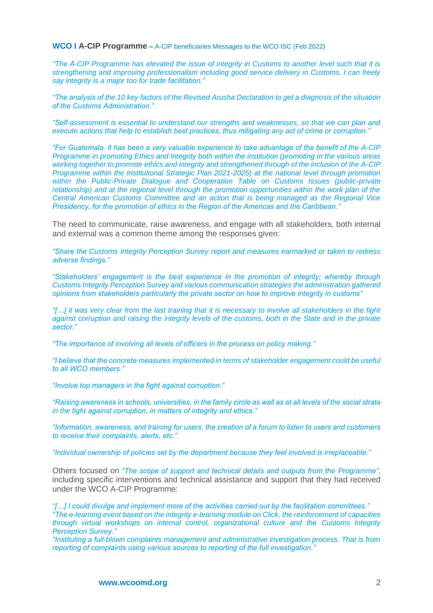*"The A-CIP Programme has elevated the issue of integrity in Customs to another level such that it is strengthening and improving professionalism including good service delivery in Customs. I can freely say integrity is a major too for trade facilitation."* 

*"The analysis of the 10 key factors of the Revised Arusha Declaration to get a diagnosis of the situation of the Customs Administration."* 

*"Self-assessment is essential to understand our strengths and weaknesses, so that we can plan and execute actions that help to establish best practices, thus mitigating any act of crime or corruption."* 

*"For Guatemala, it has been a very valuable experience to take advantage of the benefit of the A-CIP Programme in promoting Ethics and Integrity both within the institution (promoting in the various areas working together to promote ethics and integrity and strengthened through of the inclusion of the A-CIP Programme within the Institutional Strategic Plan 2021-2025) at the national level through promotion within the Public-Private Dialogue and Cooperation Table on Customs Issues (public-private relationship) and at the regional level through the promotion opportunities within the work plan of the Central American Customs Committee and an action that is being managed as the Regional Vice Presidency, for the promotion of ethics in the Region of the Americas and the Caribbean."* 

The need to communicate, raise awareness, and engage with all stakeholders, both internal and external was a common theme among the responses given:

*"Share the Customs Integrity Perception Survey report and measures earmarked or taken to redress adverse findings."* 

*"Stakeholders' engagement is the best experience in the promotion of integrity; whereby through Customs Integrity Perception Survey and various communication strategies the administration gathered opinions from stakeholders particularly the private sector on how to improve integrity in customs"* 

*"[…] it was very clear from the last training that it is necessary to involve all stakeholders in the fight against corruption and raising the integrity levels of the customs, both in the State and in the private sector."* 

*"The importance of involving all levels of officers in the process on policy making."* 

*"I believe that the concrete measures implemented in terms of stakeholder engagement could be useful to all WCO members."* 

*"Involve top managers in the fight against corruption."* 

*"Raising awareness in schools, universities, in the family circle as well as at all levels of the social strata in the fight against corruption, in matters of integrity and ethics."* 

*"Information, awareness, and training for users, the creation of a forum to listen to users and customers to receive their complaints, alerts, etc."* 

*"Individual ownership of policies set by the department because they feel involved is irreplaceable."* 

Others focused on *"The scope of support and technical details and outputs from the Programme"*, including specific interventions and technical assistance and support that they had received under the WCO A-CIP Programme:

*"[…] I could divulge and implement more of the activities carried out by the facilitation committees." "The e-learning event based on the integrity e-learning module on Click, the reinforcement of capacities through virtual workshops on internal control, organizational culture and the Customs Integrity Perception Survey."* 

*"Instituting a full-blown complaints management and administrative investigation process. That is from reporting of complaints using various sources to reporting of the full investigation."*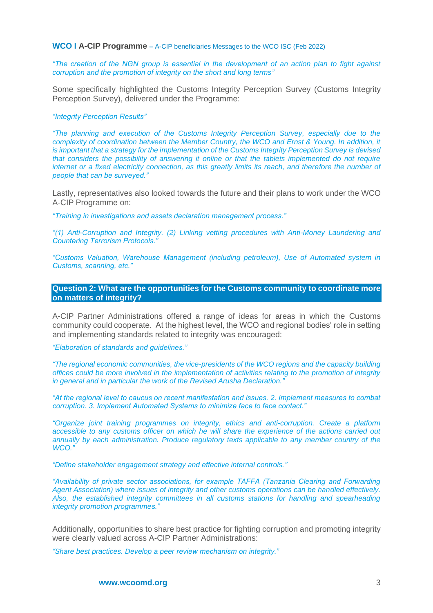*"The creation of the NGN group is essential in the development of an action plan to fight against corruption and the promotion of integrity on the short and long terms"* 

Some specifically highlighted the Customs Integrity Perception Survey (Customs Integrity Perception Survey), delivered under the Programme:

#### *"Integrity Perception Results"*

*"The planning and execution of the Customs Integrity Perception Survey, especially due to the complexity of coordination between the Member Country, the WCO and Ernst & Young. In addition, it is important that a strategy for the implementation of the Customs Integrity Perception Survey is devised that considers the possibility of answering it online or that the tablets implemented do not require internet or a fixed electricity connection, as this greatly limits its reach, and therefore the number of people that can be surveyed."* 

Lastly, representatives also looked towards the future and their plans to work under the WCO A-CIP Programme on:

*"Training in investigations and assets declaration management process."* 

*"(1) Anti-Corruption and Integrity. (2) Linking vetting procedures with Anti-Money Laundering and Countering Terrorism Protocols."* 

*"Customs Valuation, Warehouse Management (including petroleum), Use of Automated system in Customs, scanning, etc."* 

**Question 2: What are the opportunities for the Customs community to coordinate more on matters of integrity?**

A-CIP Partner Administrations offered a range of ideas for areas in which the Customs community could cooperate. At the highest level, the WCO and regional bodies' role in setting and implementing standards related to integrity was encouraged:

*"Elaboration of standards and guidelines."*

*"The regional economic communities, the vice-presidents of the WCO regions and the capacity building offices could be more involved in the implementation of activities relating to the promotion of integrity in general and in particular the work of the Revised Arusha Declaration."*

*"At the regional level to caucus on recent manifestation and issues. 2. Implement measures to combat corruption. 3. Implement Automated Systems to minimize face to face contact."*

*"Organize joint training programmes on integrity, ethics and anti-corruption. Create a platform accessible to any customs officer on which he will share the experience of the actions carried out annually by each administration. Produce regulatory texts applicable to any member country of the WCO."*

*"Define stakeholder engagement strategy and effective internal controls."*

*"Availability of private sector associations, for example TAFFA (Tanzania Clearing and Forwarding Agent Association) where issues of integrity and other customs operations can be handled effectively. Also, the established integrity committees in all customs stations for handling and spearheading integrity promotion programmes."*

Additionally, opportunities to share best practice for fighting corruption and promoting integrity were clearly valued across A-CIP Partner Administrations:

*"Share best practices. Develop a peer review mechanism on integrity."*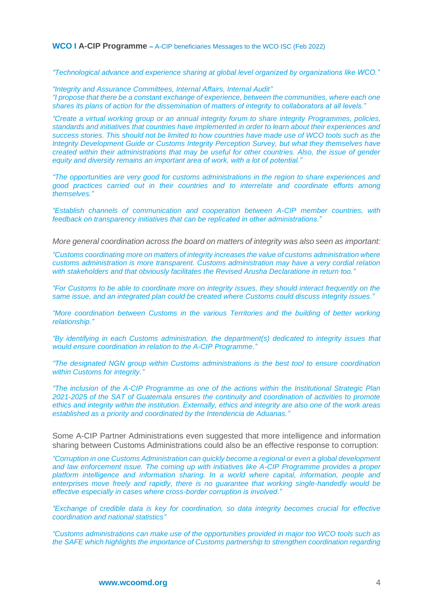*"Technological advance and experience sharing at global level organized by organizations like WCO."*

*"Integrity and Assurance Committees, Internal Affairs, Internal Audit" "I propose that there be a constant exchange of experience, between the communities, where each one shares its plans of action for the dissemination of matters of integrity to collaborators at all levels."*

*"Create a virtual working group or an annual integrity forum to share integrity Programmes, policies, standards and initiatives that countries have implemented in order to learn about their experiences and success stories. This should not be limited to how countries have made use of WCO tools such as the Integrity Development Guide or Customs Integrity Perception Survey, but what they themselves have created within their administrations that may be useful for other countries. Also, the issue of gender equity and diversity remains an important area of work, with a lot of potential."*

*"The opportunities are very good for customs administrations in the region to share experiences and good practices carried out in their countries and to interrelate and coordinate efforts among themselves."*

*"Establish channels of communication and cooperation between A-CIP member countries, with feedback on transparency initiatives that can be replicated in other administrations."*

*More general coordination across the board on matters of integrity was also seen as important:*

*"Customs coordinating more on matters of integrity increases the value of customs administration where customs administration is more transparent. Customs administration may have a very cordial relation with stakeholders and that obviously facilitates the Revised Arusha Declaratione in return too."*

*"For Customs to be able to coordinate more on integrity issues, they should interact frequently on the same issue, and an integrated plan could be created where Customs could discuss integrity issues."*

*"More coordination between Customs in the various Territories and the building of better working relationship."*

*"By identifying in each Customs administration, the department(s) dedicated to integrity issues that would ensure coordination in relation to the A-CIP Programme."*

*"The designated NGN group within Customs administrations is the best tool to ensure coordination within Customs for integrity."*

*"The inclusion of the A-CIP Programme as one of the actions within the Institutional Strategic Plan 2021-2025 of the SAT of Guatemala ensures the continuity and coordination of activities to promote ethics and integrity within the institution. Externally, ethics and integrity are also one of the work areas established as a priority and coordinated by the Intendencia de Aduanas."*

Some A-CIP Partner Administrations even suggested that more intelligence and information sharing between Customs Administrations could also be an effective response to corruption:

*"Corruption in one Customs Administration can quickly become a regional or even a global development and law enforcement issue. The coming up with initiatives like A-CIP Programme provides a proper*  platform intelligence and information sharing. In a world where capital, information, people and *enterprises move freely and rapidly, there is no guarantee that working single-handedly would be effective especially in cases where cross-border corruption is involved."*

*"Exchange of credible data is key for coordination, so data integrity becomes crucial for effective coordination and national statistics"*

*"Customs administrations can make use of the opportunities provided in major too WCO tools such as the SAFE which highlights the importance of Customs partnership to strengthen coordination regarding*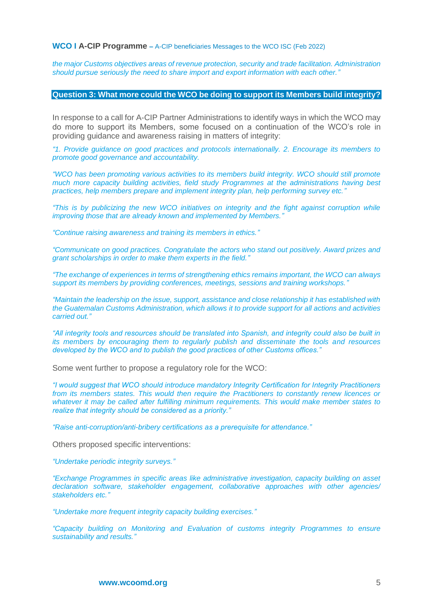*the major Customs objectives areas of revenue protection, security and trade facilitation. Administration should pursue seriously the need to share import and export information with each other."* 

#### **Question 3: What more could the WCO be doing to support its Members build integrity?**

In response to a call for A-CIP Partner Administrations to identify ways in which the WCO may do more to support its Members, some focused on a continuation of the WCO's role in providing guidance and awareness raising in matters of integrity:

*"1. Provide guidance on good practices and protocols internationally. 2. Encourage its members to promote good governance and accountability.* 

*"WCO has been promoting various activities to its members build integrity. WCO should still promote much more capacity building activities, field study Programmes at the administrations having best practices, help members prepare and implement integrity plan, help performing survey etc."*

*"This is by publicizing the new WCO initiatives on integrity and the fight against corruption while improving those that are already known and implemented by Members."*

*"Continue raising awareness and training its members in ethics."*

*"Communicate on good practices. Congratulate the actors who stand out positively. Award prizes and grant scholarships in order to make them experts in the field."*

*"The exchange of experiences in terms of strengthening ethics remains important, the WCO can always support its members by providing conferences, meetings, sessions and training workshops."*

*"Maintain the leadership on the issue, support, assistance and close relationship it has established with the Guatemalan Customs Administration, which allows it to provide support for all actions and activities carried out."*

*"All integrity tools and resources should be translated into Spanish, and integrity could also be built in its members by encouraging them to regularly publish and disseminate the tools and resources developed by the WCO and to publish the good practices of other Customs offices."*

Some went further to propose a regulatory role for the WCO:

*"I would suggest that WCO should introduce mandatory Integrity Certification for Integrity Practitioners from its members states. This would then require the Practitioners to constantly renew licences or whatever it may be called after fulfilling minimum requirements. This would make member states to realize that integrity should be considered as a priority."*

*"Raise anti-corruption/anti-bribery certifications as a prerequisite for attendance."*

Others proposed specific interventions:

*"Undertake periodic integrity surveys."*

*"Exchange Programmes in specific areas like administrative investigation, capacity building on asset declaration software, stakeholder engagement, collaborative approaches with other agencies/ stakeholders etc."*

*"Undertake more frequent integrity capacity building exercises."*

*"Capacity building on Monitoring and Evaluation of customs integrity Programmes to ensure sustainability and results."*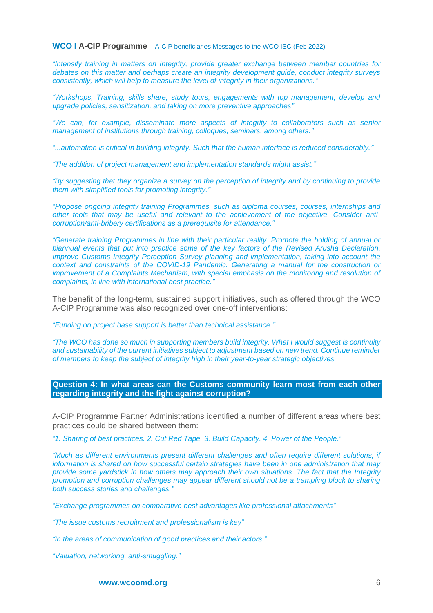*"Intensify training in matters on Integrity, provide greater exchange between member countries for debates on this matter and perhaps create an integrity development guide, conduct integrity surveys consistently, which will help to measure the level of integrity in their organizations."*

*"Workshops, Training, skills share, study tours, engagements with top management, develop and upgrade policies, sensitization, and taking on more preventive approaches"*

*"We can, for example, disseminate more aspects of integrity to collaborators such as senior management of institutions through training, colloques, seminars, among others."*

*"...automation is critical in building integrity. Such that the human interface is reduced considerably."*

*"The addition of project management and implementation standards might assist."*

*"By suggesting that they organize a survey on the perception of integrity and by continuing to provide them with simplified tools for promoting integrity."*

*"Propose ongoing integrity training Programmes, such as diploma courses, courses, internships and other tools that may be useful and relevant to the achievement of the objective. Consider anticorruption/anti-bribery certifications as a prerequisite for attendance."*

*"Generate training Programmes in line with their particular reality. Promote the holding of annual or biannual events that put into practice some of the key factors of the Revised Arusha Declaration. Improve Customs Integrity Perception Survey planning and implementation, taking into account the context and constraints of the COVID-19 Pandemic. Generating a manual for the construction or improvement of a Complaints Mechanism, with special emphasis on the monitoring and resolution of complaints, in line with international best practice."*

The benefit of the long-term, sustained support initiatives, such as offered through the WCO A-CIP Programme was also recognized over one-off interventions:

*"Funding on project base support is better than technical assistance."* 

*"The WCO has done so much in supporting members build integrity. What I would suggest is continuity and sustainability of the current initiatives subject to adjustment based on new trend. Continue reminder of members to keep the subject of integrity high in their year-to-year strategic objectives.* 

**Question 4: In what areas can the Customs community learn most from each other regarding integrity and the fight against corruption?**

A-CIP Programme Partner Administrations identified a number of different areas where best practices could be shared between them:

*"1. Sharing of best practices. 2. Cut Red Tape. 3. Build Capacity. 4. Power of the People."*

*"Much as different environments present different challenges and often require different solutions, if information is shared on how successful certain strategies have been in one administration that may provide some yardstick in how others may approach their own situations. The fact that the Integrity promotion and corruption challenges may appear different should not be a trampling block to sharing both success stories and challenges."*

*"Exchange programmes on comparative best advantages like professional attachments"*

*"The issue customs recruitment and professionalism is key"*

*"In the areas of communication of good practices and their actors."*

*"Valuation, networking, anti-smuggling."*

**www.wcoomd.org** 6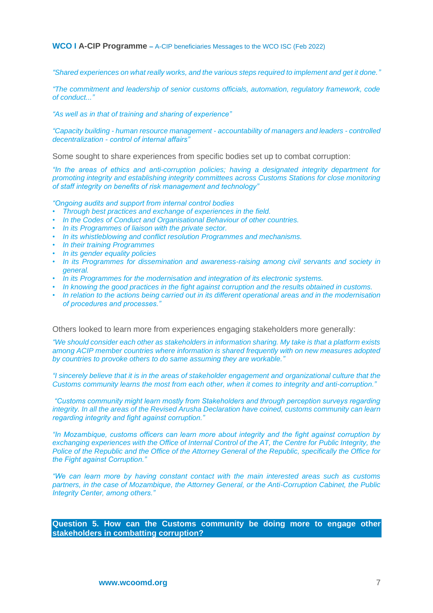*"Shared experiences on what really works, and the various steps required to implement and get it done."*

*"The commitment and leadership of senior customs officials, automation, regulatory framework, code of conduct..."*

*"As well as in that of training and sharing of experience"*

*"Capacity building - human resource management - accountability of managers and leaders - controlled decentralization - control of internal affairs"*

Some sought to share experiences from specific bodies set up to combat corruption:

*"In the areas of ethics and anti-corruption policies; having a designated integrity department for promoting integrity and establishing integrity committees across Customs Stations for close monitoring of staff integrity on benefits of risk management and technology"*

*"Ongoing audits and support from internal control bodies* 

- *• Through best practices and exchange of experiences in the field.*
- *• In the Codes of Conduct and Organisational Behaviour of other countries.*
- *• In its Programmes of liaison with the private sector.*
- *• In its whistleblowing and conflict resolution Programmes and mechanisms.*
- *• In their training Programmes*
- *• In its gender equality policies*
- *• In its Programmes for dissemination and awareness-raising among civil servants and society in general.*
- *• In its Programmes for the modernisation and integration of its electronic systems.*
- *• In knowing the good practices in the fight against corruption and the results obtained in customs.*
- *• In relation to the actions being carried out in its different operational areas and in the modernisation of procedures and processes."*

Others looked to learn more from experiences engaging stakeholders more generally:

*"We should consider each other as stakeholders in information sharing. My take is that a platform exists among ACIP member countries where information is shared frequently with on new measures adopted by countries to provoke others to do same assuming they are workable."* 

*"I sincerely believe that it is in the areas of stakeholder engagement and organizational culture that the Customs community learns the most from each other, when it comes to integrity and anti-corruption."*

*"Customs community might learn mostly from Stakeholders and through perception surveys regarding integrity. In all the areas of the Revised Arusha Declaration have coined, customs community can learn regarding integrity and fight against corruption."*

*"In Mozambique, customs officers can learn more about integrity and the fight against corruption by exchanging experiences with the Office of Internal Control of the AT, the Centre for Public Integrity, the Police of the Republic and the Office of the Attorney General of the Republic, specifically the Office for the Fight against Corruption."*

*"We can learn more by having constant contact with the main interested areas such as customs partners, in the case of Mozambique, the Attorney General, or the Anti-Corruption Cabinet, the Public Integrity Center, among others."*

**Question 5. How can the Customs community be doing more to engage other stakeholders in combatting corruption?**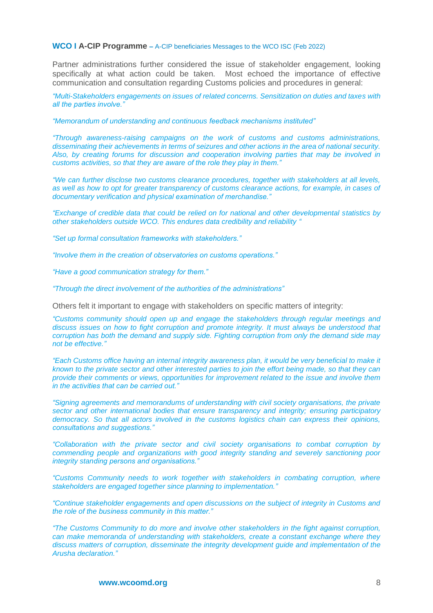Partner administrations further considered the issue of stakeholder engagement, looking specifically at what action could be taken. Most echoed the importance of effective communication and consultation regarding Customs policies and procedures in general:

*"Multi-Stakeholders engagements on issues of related concerns. Sensitization on duties and taxes with all the parties involve."*

*"Memorandum of understanding and continuous feedback mechanisms instituted"*

*"Through awareness-raising campaigns on the work of customs and customs administrations, disseminating their achievements in terms of seizures and other actions in the area of national security. Also, by creating forums for discussion and cooperation involving parties that may be involved in customs activities, so that they are aware of the role they play in them."*

*"We can further disclose two customs clearance procedures, together with stakeholders at all levels, as well as how to opt for greater transparency of customs clearance actions, for example, in cases of documentary verification and physical examination of merchandise."*

*"Exchange of credible data that could be relied on for national and other developmental statistics by other stakeholders outside WCO. This endures data credibility and reliability "*

*"Set up formal consultation frameworks with stakeholders."*

*"Involve them in the creation of observatories on customs operations."*

*"Have a good communication strategy for them."*

*"Through the direct involvement of the authorities of the administrations"*

Others felt it important to engage with stakeholders on specific matters of integrity:

*"Customs community should open up and engage the stakeholders through regular meetings and discuss issues on how to fight corruption and promote integrity. It must always be understood that corruption has both the demand and supply side. Fighting corruption from only the demand side may not be effective."* 

*"Each Customs office having an internal integrity awareness plan, it would be very beneficial to make it known to the private sector and other interested parties to join the effort being made, so that they can provide their comments or views, opportunities for improvement related to the issue and involve them in the activities that can be carried out."*

*"Signing agreements and memorandums of understanding with civil society organisations, the private sector and other international bodies that ensure transparency and integrity; ensuring participatory democracy. So that all actors involved in the customs logistics chain can express their opinions, consultations and suggestions."*

*"Collaboration with the private sector and civil society organisations to combat corruption by commending people and organizations with good integrity standing and severely sanctioning poor integrity standing persons and organisations."*

*"Customs Community needs to work together with stakeholders in combating corruption, where stakeholders are engaged together since planning to implementation."* 

*"Continue stakeholder engagements and open discussions on the subject of integrity in Customs and the role of the business community in this matter."*

*"The Customs Community to do more and involve other stakeholders in the fight against corruption, can make memoranda of understanding with stakeholders, create a constant exchange where they discuss matters of corruption, disseminate the integrity development guide and implementation of the Arusha declaration."*